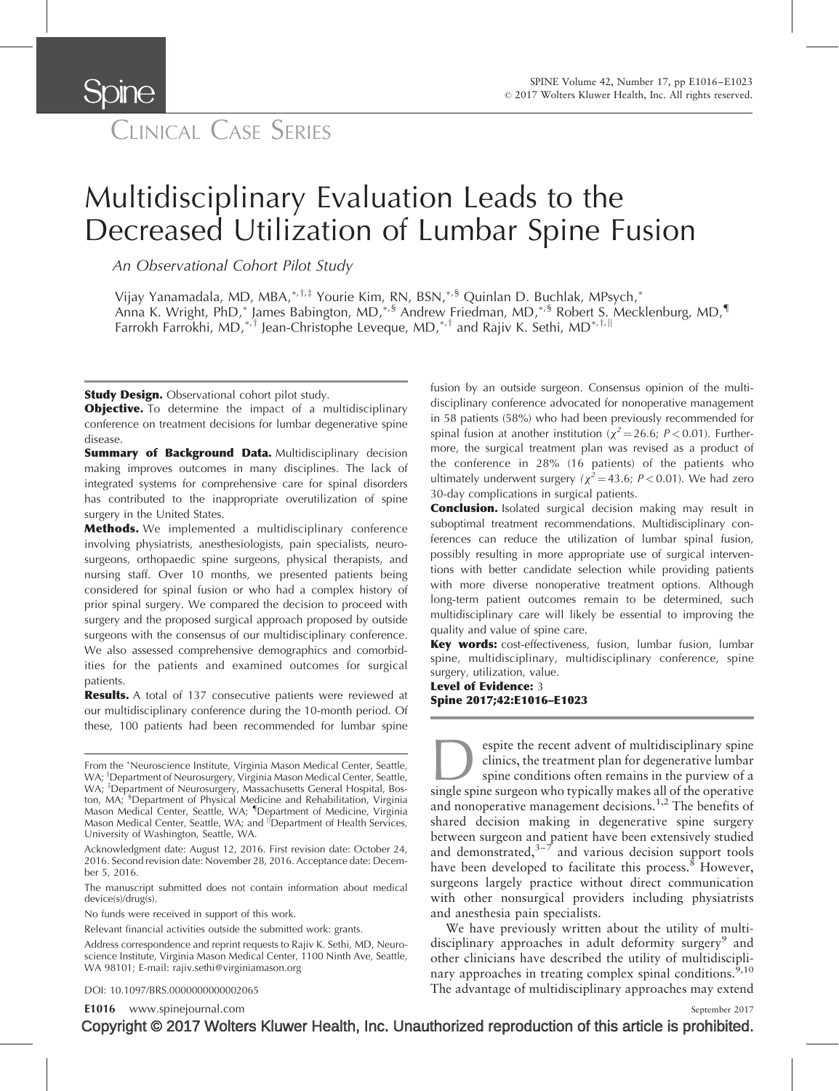# Multidisciplinary Evaluation Leads to the Decreased Utilization of Lumbar Spine Fusion

An Observational Cohort Pilot Study

Vijay Yanamadala, MD, MBA,\*<sup>,†,‡</sup> Yourie Kim, RN, BSN,\*<sup>,§</sup> Quinlan D. Buchlak, MPsych,\*<br>Anna K. Wright, PhD,\* James Babington, MD,\*<sup>,§</sup> Andrew Friedman, MD,<sup>\*,§</sup> Robert S. Mecklenburg, MD,¶ Farrokh Farrokhi, MD,\*<sup>,†</sup> Jean-Christophe Leveque, MD,\*<sup>,†</sup> and Rajiv K. Sethi, MD\*<sup>,†,||</sup>

**Study Design.** Observational cohort pilot study.

**Objective.** To determine the impact of a multidisciplinary conference on treatment decisions for lumbar degenerative spine disease.

Summary of Background Data. Multidisciplinary decision making improves outcomes in many disciplines. The lack of integrated systems for comprehensive care for spinal disorders has contributed to the inappropriate overutilization of spine surgery in the United States.

**Methods.** We implemented a multidisciplinary conference involving physiatrists, anesthesiologists, pain specialists, neurosurgeons, orthopaedic spine surgeons, physical therapists, and nursing staff. Over 10 months, we presented patients being considered for spinal fusion or who had a complex history of prior spinal surgery. We compared the decision to proceed with surgery and the proposed surgical approach proposed by outside surgeons with the consensus of our multidisciplinary conference. We also assessed comprehensive demographics and comorbidities for the patients and examined outcomes for surgical patients.

Results. A total of 137 consecutive patients were reviewed at our multidisciplinary conference during the 10-month period. Of these, 100 patients had been recommended for lumbar spine

DOI: 10.1097/BRS.0000000000002065

**E1016** www.spinejournal.com September 2017

fusion by an outside surgeon. Consensus opinion of the multidisciplinary conference advocated for nonoperative management in 58 patients (58%) who had been previously recommended for spinal fusion at another institution ( $\chi^2$  = 26.6; P < 0.01). Furthermore, the surgical treatment plan was revised as a product of the conference in 28% (16 patients) of the patients who ultimately underwent surgery ( $\chi^2$  = 43.6; P < 0.01). We had zero 30-day complications in surgical patients.

**Conclusion.** Isolated surgical decision making may result in suboptimal treatment recommendations. Multidisciplinary conferences can reduce the utilization of lumbar spinal fusion, possibly resulting in more appropriate use of surgical interventions with better candidate selection while providing patients with more diverse nonoperative treatment options. Although long-term patient outcomes remain to be determined, such multidisciplinary care will likely be essential to improving the quality and value of spine care.

Key words: cost-effectiveness, fusion, lumbar fusion, lumbar spine, multidisciplinary, multidisciplinary conference, spine surgery, utilization, value.

#### Level of Evidence: 3 Spine 2017;42:E1016–E1023

espite the recent advent of multidisciplinary spine<br>clinics, the treatment plan for degenerative lumbar<br>spine conditions often remains in the purview of a<br>single spine surgeon who typically makes all of the operative clinics, the treatment plan for degenerative lumbar spine conditions often remains in the purview of a and nonoperative management decisions.[1,2](#page-6-0) The benefits of shared decision making in degenerative spine surgery between surgeon and patient have been extensively studied and demonstrated, $3-\bar{7}$  and various decision support tools have been developed to facilitate this process. $\frac{8}{3}$  $\frac{8}{3}$  $\frac{8}{3}$  However, surgeons largely practice without direct communication with other nonsurgical providers including physiatrists and anesthesia pain specialists.

We have previously written about the utility of multi-disciplinary approaches in adult deformity surgery<sup>[9](#page-6-0)</sup> and other clinicians have described the utility of multidiscipli-nary approaches in treating complex spinal conditions.<sup>[9,10](#page-6-0)</sup> The advantage of multidisciplinary approaches may extend

From the \*Neuroscience Institute, Virginia Mason Medical Center, Seattle, WA; <sup>†</sup>Department of Neurosurgery, Virginia Mason Medical Center, Seattle, WA; <sup>‡</sup>Department of Neurosurgery, Massachusetts General Hospital, Boston, MA; SDepartment of Physical Medicine and Rehabilitation, Virginia Mason Medical Center, Seattle, WA; IDepartment of Medicine, Virginia Mason Medical Center, Seattle, WA; and <sup>li</sup>Department of Health Services, University of Washington, Seattle, WA.

Acknowledgment date: August 12, 2016. First revision date: October 24, 2016. Second revision date: November 28, 2016. Acceptance date: December 5, 2016.

The manuscript submitted does not contain information about medical device(s)/drug(s).

No funds were received in support of this work.

Relevant financial activities outside the submitted work: grants.

Address correspondence and reprint requests to Rajiv K. Sethi, MD, Neuroscience Institute, Virginia Mason Medical Center, 1100 Ninth Ave, Seattle, WA 98101; E-mail: [rajiv.sethi@virginiamason.org](mailto:rajiv.sethi@virginiamason.org)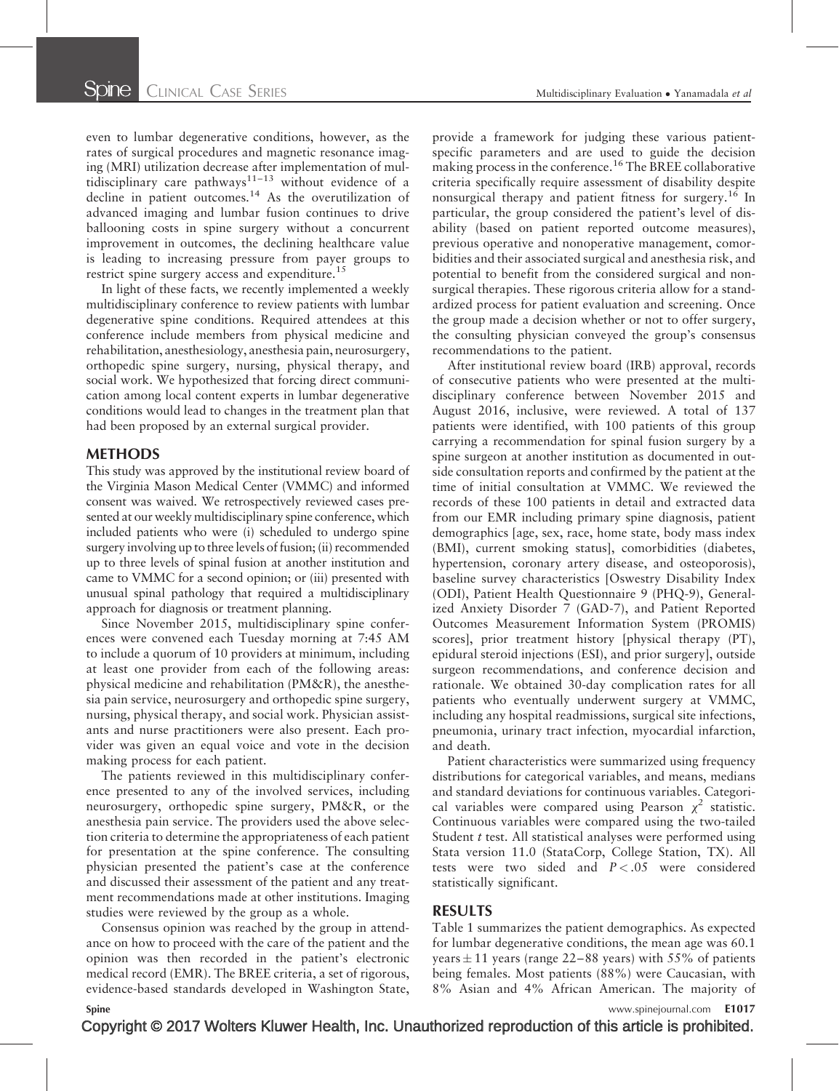even to lumbar degenerative conditions, however, as the rates of surgical procedures and magnetic resonance imaging (MRI) utilization decrease after implementation of mul- $\frac{1}{1-13}$  without evidence of a decline in patient outcomes.[14](#page-6-0) As the overutilization of advanced imaging and lumbar fusion continues to drive ballooning costs in spine surgery without a concurrent improvement in outcomes, the declining healthcare value is leading to increasing pressure from payer groups to restrict spine surgery access and expenditure.<sup>[15](#page-6-0)</sup>

In light of these facts, we recently implemented a weekly multidisciplinary conference to review patients with lumbar degenerative spine conditions. Required attendees at this conference include members from physical medicine and rehabilitation, anesthesiology, anesthesia pain, neurosurgery, orthopedic spine surgery, nursing, physical therapy, and social work. We hypothesized that forcing direct communication among local content experts in lumbar degenerative conditions would lead to changes in the treatment plan that had been proposed by an external surgical provider.

## METHODS

This study was approved by the institutional review board of the Virginia Mason Medical Center (VMMC) and informed consent was waived. We retrospectively reviewed cases presented at our weekly multidisciplinary spine conference, which included patients who were (i) scheduled to undergo spine surgery involving up to three levels of fusion; (ii) recommended up to three levels of spinal fusion at another institution and came to VMMC for a second opinion; or (iii) presented with unusual spinal pathology that required a multidisciplinary approach for diagnosis or treatment planning.

Since November 2015, multidisciplinary spine conferences were convened each Tuesday morning at 7:45 AM to include a quorum of 10 providers at minimum, including at least one provider from each of the following areas: physical medicine and rehabilitation (PM&R), the anesthesia pain service, neurosurgery and orthopedic spine surgery, nursing, physical therapy, and social work. Physician assistants and nurse practitioners were also present. Each provider was given an equal voice and vote in the decision making process for each patient.

The patients reviewed in this multidisciplinary conference presented to any of the involved services, including neurosurgery, orthopedic spine surgery, PM&R, or the anesthesia pain service. The providers used the above selection criteria to determine the appropriateness of each patient for presentation at the spine conference. The consulting physician presented the patient's case at the conference and discussed their assessment of the patient and any treatment recommendations made at other institutions. Imaging studies were reviewed by the group as a whole.

Consensus opinion was reached by the group in attendance on how to proceed with the care of the patient and the opinion was then recorded in the patient's electronic medical record (EMR). The BREE criteria, a set of rigorous, evidence-based standards developed in Washington State, provide a framework for judging these various patientspecific parameters and are used to guide the decision making process in the conference.[16](#page-6-0) The BREE collaborative criteria specifically require assessment of disability despite nonsurgical therapy and patient fitness for surgery.<sup>[16](#page-6-0)</sup> In particular, the group considered the patient's level of disability (based on patient reported outcome measures), previous operative and nonoperative management, comorbidities and their associated surgical and anesthesia risk, and potential to benefit from the considered surgical and nonsurgical therapies. These rigorous criteria allow for a standardized process for patient evaluation and screening. Once the group made a decision whether or not to offer surgery, the consulting physician conveyed the group's consensus recommendations to the patient.

After institutional review board (IRB) approval, records of consecutive patients who were presented at the multidisciplinary conference between November 2015 and August 2016, inclusive, were reviewed. A total of 137 patients were identified, with 100 patients of this group carrying a recommendation for spinal fusion surgery by a spine surgeon at another institution as documented in outside consultation reports and confirmed by the patient at the time of initial consultation at VMMC. We reviewed the records of these 100 patients in detail and extracted data from our EMR including primary spine diagnosis, patient demographics [age, sex, race, home state, body mass index (BMI), current smoking status], comorbidities (diabetes, hypertension, coronary artery disease, and osteoporosis), baseline survey characteristics [Oswestry Disability Index (ODI), Patient Health Questionnaire 9 (PHQ-9), Generalized Anxiety Disorder 7 (GAD-7), and Patient Reported Outcomes Measurement Information System (PROMIS) scores], prior treatment history [physical therapy (PT), epidural steroid injections (ESI), and prior surgery], outside surgeon recommendations, and conference decision and rationale. We obtained 30-day complication rates for all patients who eventually underwent surgery at VMMC, including any hospital readmissions, surgical site infections, pneumonia, urinary tract infection, myocardial infarction, and death.

Patient characteristics were summarized using frequency distributions for categorical variables, and means, medians and standard deviations for continuous variables. Categorical variables were compared using Pearson  $\chi^2$  statistic. Continuous variables were compared using the two-tailed Student *t* test. All statistical analyses were performed using Stata version 11.0 (StataCorp, College Station, TX). All tests were two sided and  $P < .05$  were considered statistically significant.

## RESULTS

Table 1 summarizes the patient demographics. As expected for lumbar degenerative conditions, the mean age was 60.1 years  $\pm$  11 years (range 22–88 years) with 55% of patients being females. Most patients (88%) were Caucasian, with 8% Asian and 4% African American. The majority of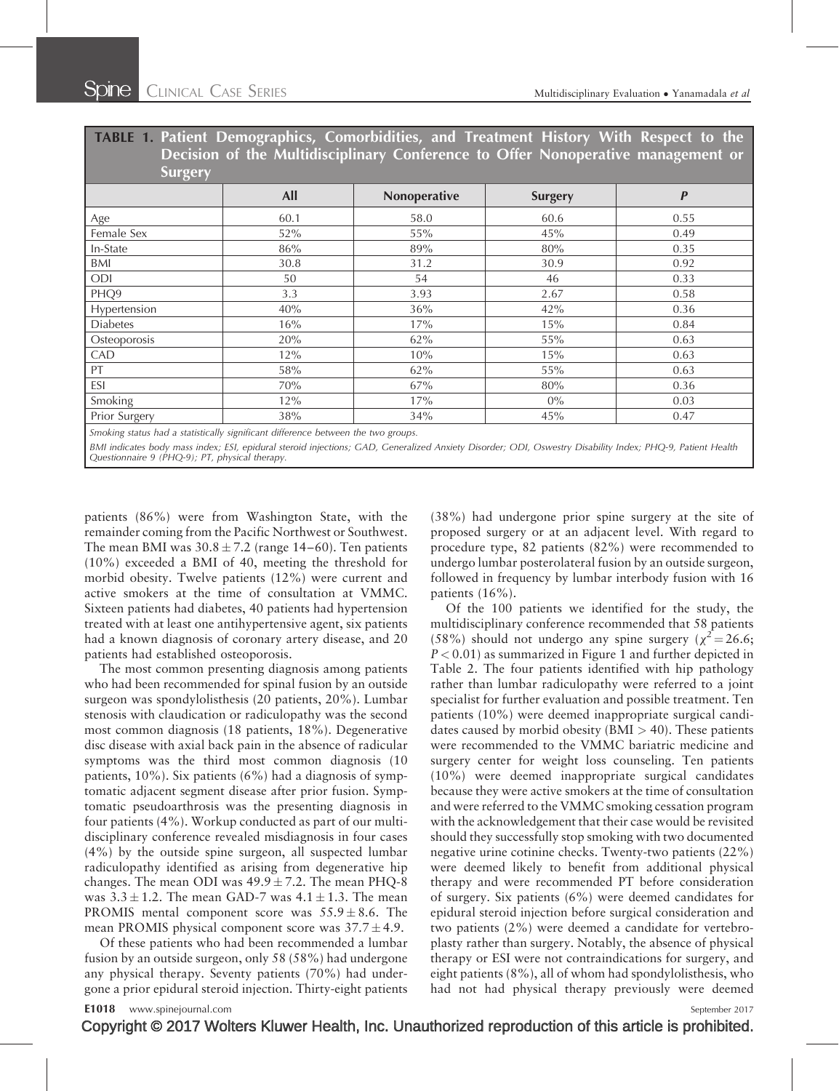TABLE 1. Patient Demographics, Comorbidities, and Treatment History With Respect to the Decision of the Multidisciplinary Conference to Offer Nonoperative management or

|                 | <b>All</b> | Nonoperative | <b>Surgery</b> | $\boldsymbol{P}$ |
|-----------------|------------|--------------|----------------|------------------|
| Age             | 60.1       | 58.0         | 60.6           | 0.55             |
| Female Sex      | 52%        | 55%          | 45%            | 0.49             |
| In-State        | 86%        | 89%          | 80%            | 0.35             |
| BMI             | 30.8       | 31.2         | 30.9           | 0.92             |
| ODI             | 50         | 54           | 46             | 0.33             |
| PHQ9            | 3.3        | 3.93         | 2.67           | 0.58             |
| Hypertension    | 40%        | 36%          | 42%            | 0.36             |
| <b>Diabetes</b> | 16%        | 17%          | 15%            | 0.84             |
| Osteoporosis    | 20%        | 62%          | 55%            | 0.63             |
| CAD             | 12%        | 10%          | 15%            | 0.63             |
| PT              | 58%        | 62%          | 55%            | 0.63             |
| ESI             | 70%        | 67%          | 80%            | 0.36             |
| Smoking         | 12%        | 17%          | $0\%$          | 0.03             |
| Prior Surgery   | 38%        | 34%          | 45%            | 0.47             |

Smoking status had a statistically significant difference between the two groups.

BMI indicates body mass index; ESI, epidural steroid injections; GAD, Generalized Anxiety Disorder; ODI, Oswestry Disability Index; PHQ-9, Patient Health Questionnaire 9 (PHQ-9); PT, physical therapy.

patients (86%) were from Washington State, with the remainder coming from the Pacific Northwest or Southwest. The mean BMI was  $30.8 \pm 7.2$  (range 14–60). Ten patients (10%) exceeded a BMI of 40, meeting the threshold for morbid obesity. Twelve patients (12%) were current and active smokers at the time of consultation at VMMC. Sixteen patients had diabetes, 40 patients had hypertension treated with at least one antihypertensive agent, six patients had a known diagnosis of coronary artery disease, and 20 patients had established osteoporosis.

The most common presenting diagnosis among patients who had been recommended for spinal fusion by an outside surgeon was spondylolisthesis (20 patients, 20%). Lumbar stenosis with claudication or radiculopathy was the second most common diagnosis (18 patients, 18%). Degenerative disc disease with axial back pain in the absence of radicular symptoms was the third most common diagnosis (10 patients, 10%). Six patients (6%) had a diagnosis of symptomatic adjacent segment disease after prior fusion. Symptomatic pseudoarthrosis was the presenting diagnosis in four patients (4%). Workup conducted as part of our multidisciplinary conference revealed misdiagnosis in four cases (4%) by the outside spine surgeon, all suspected lumbar radiculopathy identified as arising from degenerative hip changes. The mean ODI was  $49.9 \pm 7.2$ . The mean PHQ-8 was  $3.3 \pm 1.2$ . The mean GAD-7 was  $4.1 \pm 1.3$ . The mean PROMIS mental component score was  $55.9 \pm 8.6$ . The mean PROMIS physical component score was  $37.7 \pm 4.9$ .

Of these patients who had been recommended a lumbar fusion by an outside surgeon, only 58 (58%) had undergone any physical therapy. Seventy patients (70%) had undergone a prior epidural steroid injection. Thirty-eight patients (38%) had undergone prior spine surgery at the site of proposed surgery or at an adjacent level. With regard to procedure type, 82 patients (82%) were recommended to undergo lumbar posterolateral fusion by an outside surgeon, followed in frequency by lumbar interbody fusion with 16 patients (16%).

Of the 100 patients we identified for the study, the multidisciplinary conference recommended that 58 patients (58%) should not undergo any spine surgery ( $\chi^2$  = 26.6;  $P < 0.01$ ) as summarized in Figure 1 and further depicted in Table 2. The four patients identified with hip pathology rather than lumbar radiculopathy were referred to a joint specialist for further evaluation and possible treatment. Ten patients (10%) were deemed inappropriate surgical candidates caused by morbid obesity (BMI  $>$  40). These patients were recommended to the VMMC bariatric medicine and surgery center for weight loss counseling. Ten patients (10%) were deemed inappropriate surgical candidates because they were active smokers at the time of consultation and were referred to the VMMC smoking cessation program with the acknowledgement that their case would be revisited should they successfully stop smoking with two documented negative urine cotinine checks. Twenty-two patients (22%) were deemed likely to benefit from additional physical therapy and were recommended PT before consideration of surgery. Six patients (6%) were deemed candidates for epidural steroid injection before surgical consideration and two patients (2%) were deemed a candidate for vertebroplasty rather than surgery. Notably, the absence of physical therapy or ESI were not contraindications for surgery, and eight patients (8%), all of whom had spondylolisthesis, who had not had physical therapy previously were deemed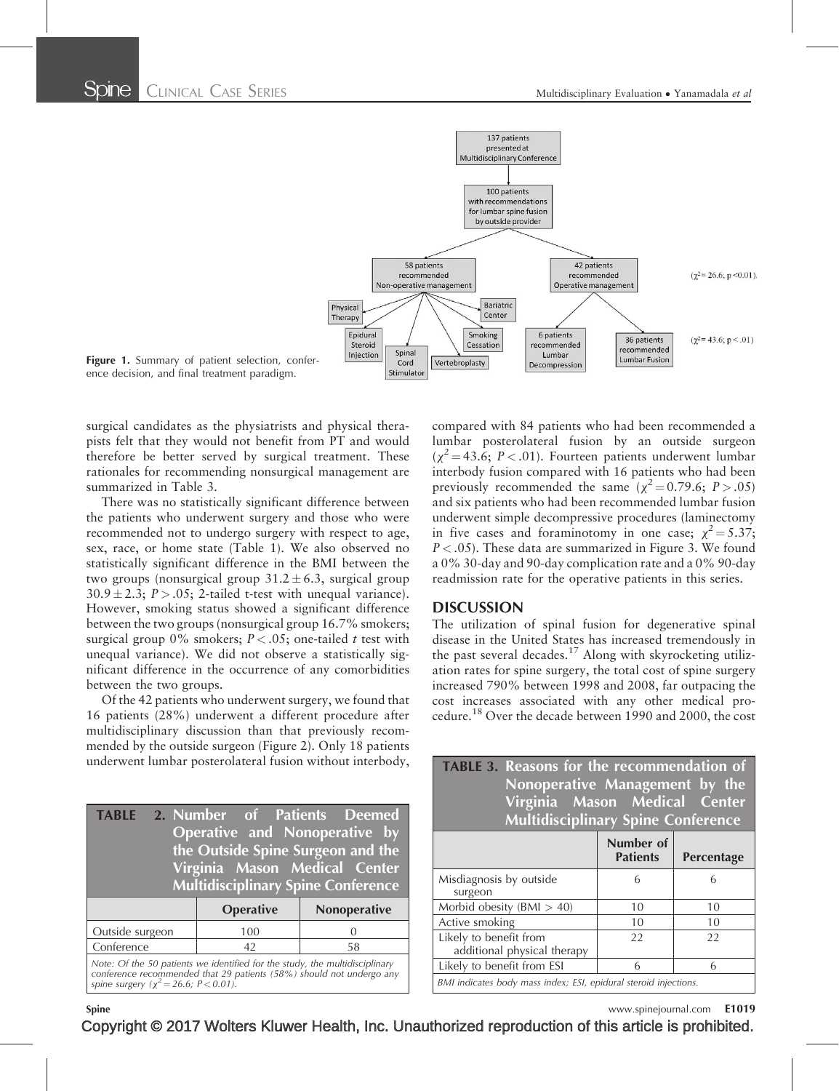

Figure 1. Summary of patient selection, conference decision, and final treatment paradigm.

surgical candidates as the physiatrists and physical therapists felt that they would not benefit from PT and would therefore be better served by surgical treatment. These rationales for recommending nonsurgical management are summarized in Table 3.

There was no statistically significant difference between the patients who underwent surgery and those who were recommended not to undergo surgery with respect to age, sex, race, or home state (Table 1). We also observed no statistically significant difference in the BMI between the two groups (nonsurgical group  $31.2 \pm 6.3$ , surgical group  $30.9 \pm 2.3$ ;  $P > .05$ ; 2-tailed t-test with unequal variance). However, smoking status showed a significant difference between the two groups (nonsurgical group 16.7% smokers; surgical group 0% smokers;  $P < .05$ ; one-tailed t test with unequal variance). We did not observe a statistically significant difference in the occurrence of any comorbidities between the two groups.

Of the 42 patients who underwent surgery, we found that 16 patients (28%) underwent a different procedure after multidisciplinary discussion than that previously recommended by the outside surgeon (Figure 2). Only 18 patients underwent lumbar posterolateral fusion without interbody,

| 2. Number of Patients Deemed<br><b>TABLE</b><br>Operative and Nonoperative by<br>the Outside Spine Surgeon and the<br>Virginia Mason Medical Center<br><b>Multidisciplinary Spine Conference</b>   |           |              |  |  |  |
|----------------------------------------------------------------------------------------------------------------------------------------------------------------------------------------------------|-----------|--------------|--|--|--|
|                                                                                                                                                                                                    | Operative | Nonoperative |  |  |  |
| Outside surgeon                                                                                                                                                                                    | 100       |              |  |  |  |
| Conference                                                                                                                                                                                         | 42        | 58           |  |  |  |
| Note: Of the 50 patients we identified for the study, the multidisciplinary<br>conference recommended that 29 patients (58%) should not undergo any<br>spine surgery ( $\chi^2$ = 26.6; P < 0.01). |           |              |  |  |  |

compared with 84 patients who had been recommended a lumbar posterolateral fusion by an outside surgeon  $(\chi^2 = 43.6; P < .01)$ . Fourteen patients underwent lumbar interbody fusion compared with 16 patients who had been previously recommended the same  $(\chi^2 = 0.79.6; P > .05)$ and six patients who had been recommended lumbar fusion underwent simple decompressive procedures (laminectomy in five cases and foraminotomy in one case;  $\chi^2 = 5.37$ ;  $P < .05$ ). These data are summarized in Figure 3. We found a 0% 30-day and 90-day complication rate and a 0% 90-day readmission rate for the operative patients in this series.

#### **DISCUSSION**

The utilization of spinal fusion for degenerative spinal disease in the United States has increased tremendously in the past several decades.<sup>17</sup> Along with skyrocketing utilization rates for spine surgery, the total cost of spine surgery increased 790% between 1998 and 2008, far outpacing the cost increases associated with any other medical procedure.[18](#page-6-0) Over the decade between 1990 and 2000, the cost

| <b>TABLE 3. Reasons for the recommendation of</b><br>Nonoperative Management by the<br>Virginia Mason Medical Center<br><b>Multidisciplinary Spine Conference</b> |                              |            |  |  |  |
|-------------------------------------------------------------------------------------------------------------------------------------------------------------------|------------------------------|------------|--|--|--|
|                                                                                                                                                                   | Number of<br><b>Patients</b> | Percentage |  |  |  |
| Misdiagnosis by outside<br>surgeon                                                                                                                                | 6                            | 6          |  |  |  |
| Morbid obesity $(BMI > 40)$                                                                                                                                       | 10                           | 10         |  |  |  |
| Active smoking                                                                                                                                                    | 10                           | 10         |  |  |  |
| Likely to benefit from<br>additional physical therapy                                                                                                             | 22                           | 22         |  |  |  |
| Likely to benefit from ESI                                                                                                                                        | 6                            | 6          |  |  |  |
| BMI indicates body mass index; ESI, epidural steroid injections.                                                                                                  |                              |            |  |  |  |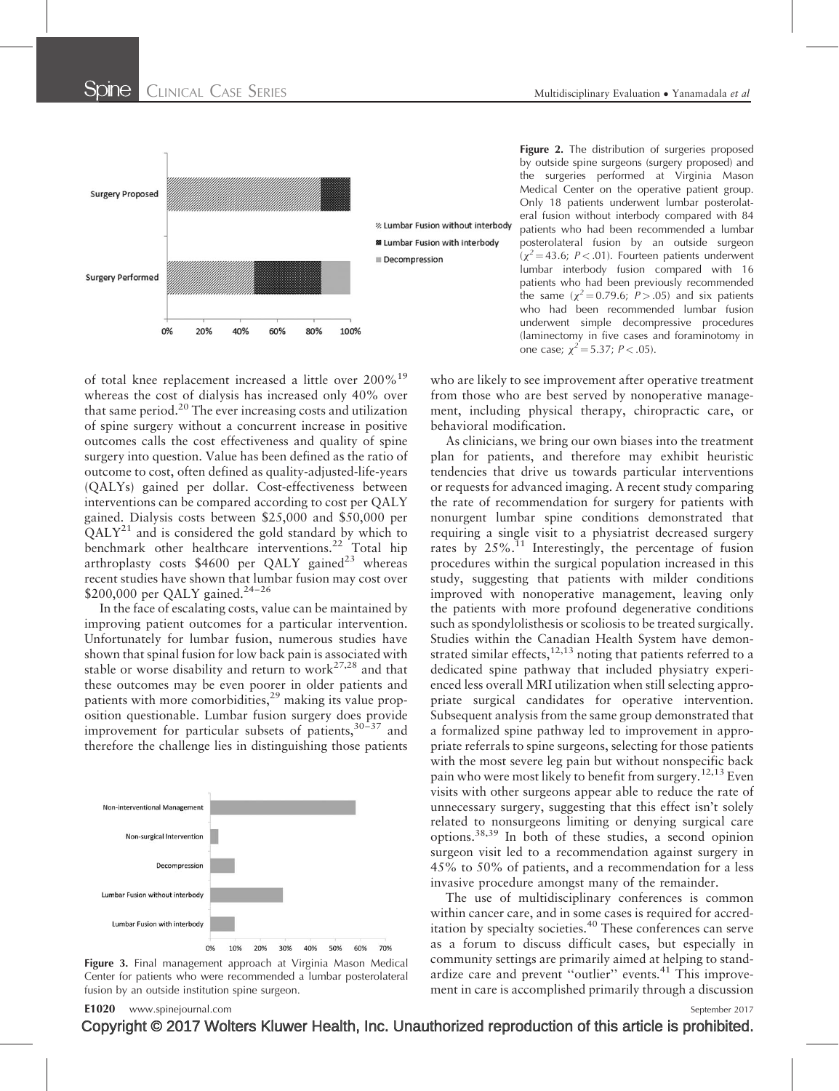

of total knee replacement increased a little over  $200\%$ <sup>[19](#page-6-0)</sup> whereas the cost of dialysis has increased only 40% over that same period. $2<sup>0</sup>$  The ever increasing costs and utilization of spine surgery without a concurrent increase in positive outcomes calls the cost effectiveness and quality of spine surgery into question. Value has been defined as the ratio of outcome to cost, often defined as quality-adjusted-life-years (QALYs) gained per dollar. Cost-effectiveness between interventions can be compared according to cost per QALY gained. Dialysis costs between \$25,000 and \$50,000 per  $QALY<sup>21</sup>$  $QALY<sup>21</sup>$  $QALY<sup>21</sup>$  and is considered the gold standard by which to benchmark other healthcare interventions.<sup>[22](#page-6-0)</sup> Total hip arthroplasty costs \$4600 per QALY gained<sup>[23](#page-6-0)</sup> whereas recent studies have shown that lumbar fusion may cost over \$200,000 per QALY gained. $24-26$ 

In the face of escalating costs, value can be maintained by improving patient outcomes for a particular intervention. Unfortunately for lumbar fusion, numerous studies have shown that spinal fusion for low back pain is associated with stable or worse disability and return to work<sup>[27,28](#page-7-0)</sup> and that these outcomes may be even poorer in older patients and patients with more comorbidities, $2<sup>9</sup>$  making its value proposition questionable. Lumbar fusion surgery does provide improvement for particular subsets of patients,  $30-37$  and therefore the challenge lies in distinguishing those patients



Figure 3. Final management approach at Virginia Mason Medical Center for patients who were recommended a lumbar posterolateral fusion by an outside institution spine surgeon.

Figure 2. The distribution of surgeries proposed by outside spine surgeons (surgery proposed) and the surgeries performed at Virginia Mason Medical Center on the operative patient group. Only 18 patients underwent lumbar posterolateral fusion without interbody compared with 84 patients who had been recommended a lumbar posterolateral fusion by an outside surgeon  $(x^2 = 43.6; P < .01)$ . Fourteen patients underwent lumbar interbody fusion compared with 16 patients who had been previously recommended the same  $(\chi^2 = 0.79.6; P > .05)$  and six patients who had been recommended lumbar fusion underwent simple decompressive procedures (laminectomy in five cases and foraminotomy in one case;  $\chi^2$  = 5.37; P < .05).

who are likely to see improvement after operative treatment from those who are best served by nonoperative management, including physical therapy, chiropractic care, or behavioral modification.

As clinicians, we bring our own biases into the treatment plan for patients, and therefore may exhibit heuristic tendencies that drive us towards particular interventions or requests for advanced imaging. A recent study comparing the rate of recommendation for surgery for patients with nonurgent lumbar spine conditions demonstrated that requiring a single visit to a physiatrist decreased surgery rates by  $25\%$ .<sup>11</sup> Interestingly, the percentage of fusion procedures within the surgical population increased in this study, suggesting that patients with milder conditions improved with nonoperative management, leaving only the patients with more profound degenerative conditions such as spondylolisthesis or scoliosis to be treated surgically. Studies within the Canadian Health System have demonstrated similar effects, $12,13$  noting that patients referred to a dedicated spine pathway that included physiatry experienced less overall MRI utilization when still selecting appropriate surgical candidates for operative intervention. Subsequent analysis from the same group demonstrated that a formalized spine pathway led to improvement in appropriate referrals to spine surgeons, selecting for those patients with the most severe leg pain but without nonspecific back pain who were most likely to benefit from surgery.<sup>[12,13](#page-6-0)</sup> Even visits with other surgeons appear able to reduce the rate of unnecessary surgery, suggesting that this effect isn't solely related to nonsurgeons limiting or denying surgical care options[.38,39](#page-7-0) In both of these studies, a second opinion surgeon visit led to a recommendation against surgery in 45% to 50% of patients, and a recommendation for a less invasive procedure amongst many of the remainder.

The use of multidisciplinary conferences is common within cancer care, and in some cases is required for accred-itation by specialty societies.<sup>[40](#page-7-0)</sup> These conferences can serve as a forum to discuss difficult cases, but especially in community settings are primarily aimed at helping to stand-ardize care and prevent "outlier" events.<sup>[41](#page-7-0)</sup> This improvement in care is accomplished primarily through a discussion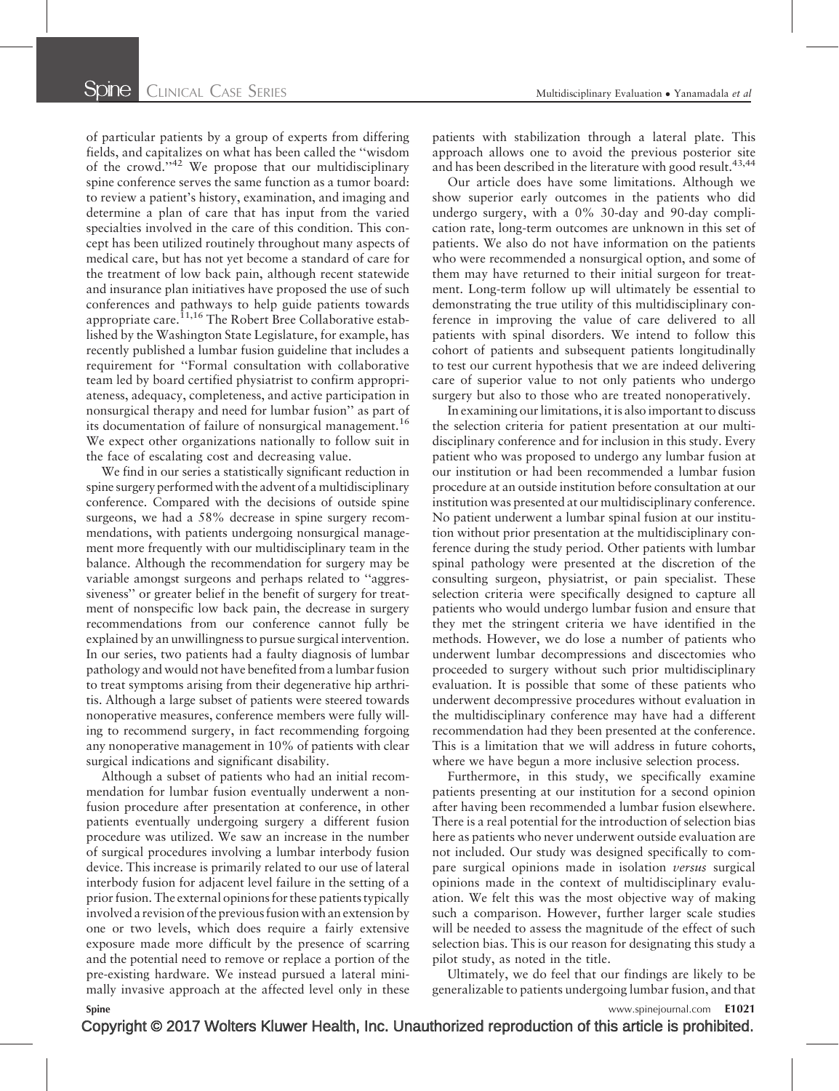of particular patients by a group of experts from differing fields, and capitalizes on what has been called the ''wisdom of the crowd." $42$  We propose that our multidisciplinary spine conference serves the same function as a tumor board: to review a patient's history, examination, and imaging and determine a plan of care that has input from the varied specialties involved in the care of this condition. This concept has been utilized routinely throughout many aspects of medical care, but has not yet become a standard of care for the treatment of low back pain, although recent statewide and insurance plan initiatives have proposed the use of such conferences and pathways to help guide patients towards appropriate care.<sup>[11,16](#page-6-0)</sup> The Robert Bree Collaborative established by the Washington State Legislature, for example, has recently published a lumbar fusion guideline that includes a requirement for ''Formal consultation with collaborative team led by board certified physiatrist to confirm appropriateness, adequacy, completeness, and active participation in nonsurgical therapy and need for lumbar fusion'' as part of its documentation of failure of nonsurgical management.<sup>[16](#page-6-0)</sup> We expect other organizations nationally to follow suit in the face of escalating cost and decreasing value.

We find in our series a statistically significant reduction in spine surgery performed with the advent of a multidisciplinary conference. Compared with the decisions of outside spine surgeons, we had a 58% decrease in spine surgery recommendations, with patients undergoing nonsurgical management more frequently with our multidisciplinary team in the balance. Although the recommendation for surgery may be variable amongst surgeons and perhaps related to ''aggressiveness'' or greater belief in the benefit of surgery for treatment of nonspecific low back pain, the decrease in surgery recommendations from our conference cannot fully be explained by an unwillingness to pursue surgical intervention. In our series, two patients had a faulty diagnosis of lumbar pathology and would not have benefited from a lumbar fusion to treat symptoms arising from their degenerative hip arthritis. Although a large subset of patients were steered towards nonoperative measures, conference members were fully willing to recommend surgery, in fact recommending forgoing any nonoperative management in 10% of patients with clear surgical indications and significant disability.

Although a subset of patients who had an initial recommendation for lumbar fusion eventually underwent a nonfusion procedure after presentation at conference, in other patients eventually undergoing surgery a different fusion procedure was utilized. We saw an increase in the number of surgical procedures involving a lumbar interbody fusion device. This increase is primarily related to our use of lateral interbody fusion for adjacent level failure in the setting of a prior fusion. The external opinions for these patients typically involved a revision of the previous fusion with an extension by one or two levels, which does require a fairly extensive exposure made more difficult by the presence of scarring and the potential need to remove or replace a portion of the pre-existing hardware. We instead pursued a lateral minimally invasive approach at the affected level only in these Spine www.spinejournal.com E1021

patients with stabilization through a lateral plate. This approach allows one to avoid the previous posterior site and has been described in the literature with good result.<sup>43,44</sup>

Our article does have some limitations. Although we show superior early outcomes in the patients who did undergo surgery, with a 0% 30-day and 90-day complication rate, long-term outcomes are unknown in this set of patients. We also do not have information on the patients who were recommended a nonsurgical option, and some of them may have returned to their initial surgeon for treatment. Long-term follow up will ultimately be essential to demonstrating the true utility of this multidisciplinary conference in improving the value of care delivered to all patients with spinal disorders. We intend to follow this cohort of patients and subsequent patients longitudinally to test our current hypothesis that we are indeed delivering care of superior value to not only patients who undergo surgery but also to those who are treated nonoperatively.

In examining our limitations, it is also important to discuss the selection criteria for patient presentation at our multidisciplinary conference and for inclusion in this study. Every patient who was proposed to undergo any lumbar fusion at our institution or had been recommended a lumbar fusion procedure at an outside institution before consultation at our institution was presented at our multidisciplinary conference. No patient underwent a lumbar spinal fusion at our institution without prior presentation at the multidisciplinary conference during the study period. Other patients with lumbar spinal pathology were presented at the discretion of the consulting surgeon, physiatrist, or pain specialist. These selection criteria were specifically designed to capture all patients who would undergo lumbar fusion and ensure that they met the stringent criteria we have identified in the methods. However, we do lose a number of patients who underwent lumbar decompressions and discectomies who proceeded to surgery without such prior multidisciplinary evaluation. It is possible that some of these patients who underwent decompressive procedures without evaluation in the multidisciplinary conference may have had a different recommendation had they been presented at the conference. This is a limitation that we will address in future cohorts, where we have begun a more inclusive selection process.

Furthermore, in this study, we specifically examine patients presenting at our institution for a second opinion after having been recommended a lumbar fusion elsewhere. There is a real potential for the introduction of selection bias here as patients who never underwent outside evaluation are not included. Our study was designed specifically to compare surgical opinions made in isolation versus surgical opinions made in the context of multidisciplinary evaluation. We felt this was the most objective way of making such a comparison. However, further larger scale studies will be needed to assess the magnitude of the effect of such selection bias. This is our reason for designating this study a pilot study, as noted in the title.

Ultimately, we do feel that our findings are likely to be generalizable to patients undergoing lumbar fusion, and that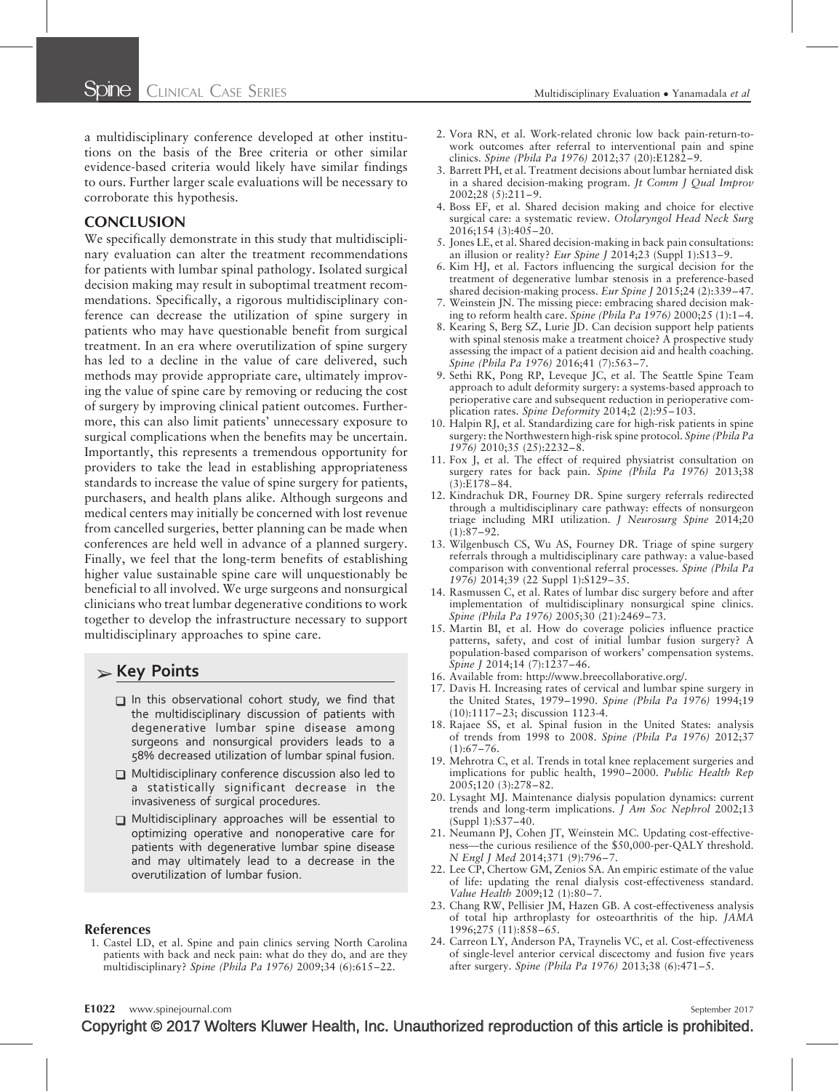<span id="page-6-0"></span>a multidisciplinary conference developed at other institutions on the basis of the Bree criteria or other similar evidence-based criteria would likely have similar findings to ours. Further larger scale evaluations will be necessary to corroborate this hypothesis.

# **CONCLUSION**

We specifically demonstrate in this study that multidisciplinary evaluation can alter the treatment recommendations for patients with lumbar spinal pathology. Isolated surgical decision making may result in suboptimal treatment recommendations. Specifically, a rigorous multidisciplinary conference can decrease the utilization of spine surgery in patients who may have questionable benefit from surgical treatment. In an era where overutilization of spine surgery has led to a decline in the value of care delivered, such methods may provide appropriate care, ultimately improving the value of spine care by removing or reducing the cost of surgery by improving clinical patient outcomes. Furthermore, this can also limit patients' unnecessary exposure to surgical complications when the benefits may be uncertain. Importantly, this represents a tremendous opportunity for providers to take the lead in establishing appropriateness standards to increase the value of spine surgery for patients, purchasers, and health plans alike. Although surgeons and medical centers may initially be concerned with lost revenue from cancelled surgeries, better planning can be made when conferences are held well in advance of a planned surgery. Finally, we feel that the long-term benefits of establishing higher value sustainable spine care will unquestionably be beneficial to all involved. We urge surgeons and nonsurgical clinicians who treat lumbar degenerative conditions to work together to develop the infrastructure necessary to support multidisciplinary approaches to spine care.

# $\triangleright$  Key Points

- $\Box$  In this observational cohort study, we find that the multidisciplinary discussion of patients with degenerative lumbar spine disease among surgeons and nonsurgical providers leads to a 58% decreased utilization of lumbar spinal fusion.
- Multidisciplinary conference discussion also led to a statistically significant decrease in the invasiveness of surgical procedures.
- Multidisciplinary approaches will be essential to optimizing operative and nonoperative care for patients with degenerative lumbar spine disease and may ultimately lead to a decrease in the overutilization of lumbar fusion.

#### References

1. Castel LD, et al. Spine and pain clinics serving North Carolina patients with back and neck pain: what do they do, and are they multidisciplinary? Spine (Phila Pa 1976) 2009;34 (6):615–22.

- clinics. Spine (Phila Pa 1976) 2012;37 (20):E1282–9. 3. Barrett PH, et al. Treatment decisions about lumbar herniated disk in a shared decision-making program. Jt Comm J Qual Improv 2002;28 (5):211–9.
- 4. Boss EF, et al. Shared decision making and choice for elective surgical care: a systematic review. Otolaryngol Head Neck Surg 2016;154 (3):405–20.
- 5. Jones LE, et al. Shared decision-making in back pain consultations: an illusion or reality? *Eur Spine*  $\int 2014;23$  (Suppl 1):S13-9.
- 6. Kim HJ, et al. Factors influencing the surgical decision for the treatment of degenerative lumbar stenosis in a preference-based shared decision-making process. Eur Spine J 2015;24 (2):339-47.
- 7. Weinstein JN. The missing piece: embracing shared decision making to reform health care. Spine (Phila Pa 1976) 2000;25 (1):1–4.
- 8. Kearing S, Berg SZ, Lurie JD. Can decision support help patients with spinal stenosis make a treatment choice? A prospective study assessing the impact of a patient decision aid and health coaching. Spine (Phila Pa 1976) 2016;41 (7):563–7.
- 9. Sethi RK, Pong RP, Leveque JC, et al. The Seattle Spine Team approach to adult deformity surgery: a systems-based approach to perioperative care and subsequent reduction in perioperative complication rates. Spine Deformity 2014;2 (2):95–103.
- 10. Halpin RJ, et al. Standardizing care for high-risk patients in spine surgery: the Northwestern high-risk spine protocol. Spine (Phila Pa 1976) 2010;35 (25):2232–8.
- 11. Fox J, et al. The effect of required physiatrist consultation on surgery rates for back pain. Spine (Phila Pa 1976) 2013;38 (3):E178–84.
- 12. Kindrachuk DR, Fourney DR. Spine surgery referrals redirected through a multidisciplinary care pathway: effects of nonsurgeon triage including MRI utilization. J Neurosurg Spine 2014;20 (1):87–92.
- 13. Wilgenbusch CS, Wu AS, Fourney DR. Triage of spine surgery referrals through a multidisciplinary care pathway: a value-based comparison with conventional referral processes. Spine (Phila Pa 1976) 2014;39 (22 Suppl 1):S129–35.
- 14. Rasmussen C, et al. Rates of lumbar disc surgery before and after implementation of multidisciplinary nonsurgical spine clinics. Spine (Phila Pa 1976) 2005;30 (21):2469–73.
- 15. Martin BI, et al. How do coverage policies influence practice patterns, safety, and cost of initial lumbar fusion surgery? A population-based comparison of workers' compensation systems. Spine J 2014;14 (7):1237-46.
- 16. Available from: [http://www.breecollaborative.org/.](http://www.breecollaborative.org/)
- 17. Davis H. Increasing rates of cervical and lumbar spine surgery in the United States, 1979–1990. Spine (Phila Pa 1976) 1994;19 (10):1117–23; discussion 1123-4.
- 18. Rajaee SS, et al. Spinal fusion in the United States: analysis of trends from 1998 to 2008. Spine (Phila Pa 1976) 2012;37  $(1):67-76.$
- 19. Mehrotra C, et al. Trends in total knee replacement surgeries and implications for public health, 1990–2000. Public Health Rep 2005;120 (3):278–82.
- 20. Lysaght MJ. Maintenance dialysis population dynamics: current trends and long-term implications. J Am Soc Nephrol 2002;13 (Suppl 1):S37–40.
- 21. Neumann PJ, Cohen JT, Weinstein MC. Updating cost-effectiveness—the curious resilience of the \$50,000-per-QALY threshold. N Engl J Med 2014;371 (9):796–7.
- 22. Lee CP, Chertow GM, Zenios SA. An empiric estimate of the value of life: updating the renal dialysis cost-effectiveness standard. Value Health 2009;12 (1):80–7.
- 23. Chang RW, Pellisier JM, Hazen GB. A cost-effectiveness analysis of total hip arthroplasty for osteoarthritis of the hip. JAMA 1996;275 (11):858–65.
- 24. Carreon LY, Anderson PA, Traynelis VC, et al. Cost-effectiveness of single-level anterior cervical discectomy and fusion five years after surgery. Spine (Phila Pa 1976) 2013;38 (6):471–5.

E1022 www.spinejournal.com September 2017